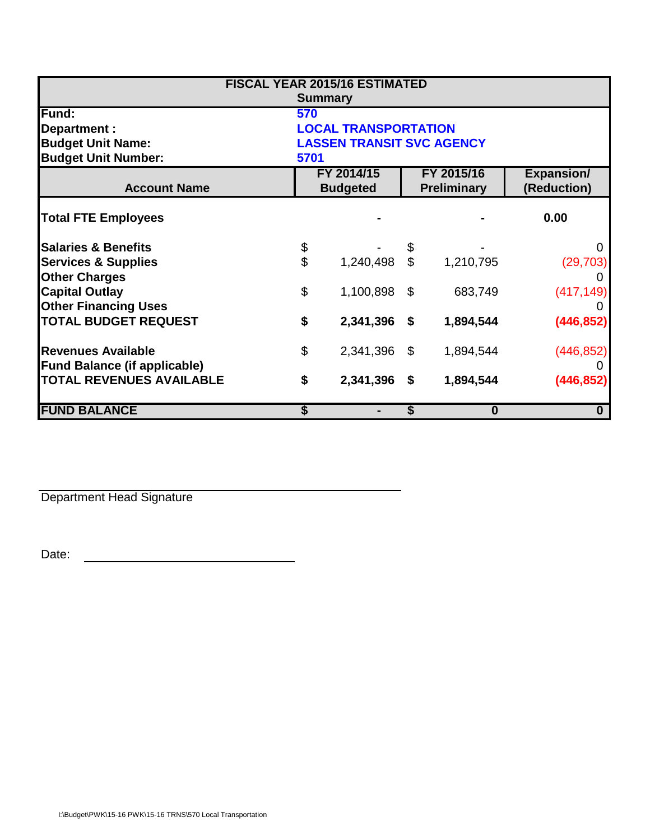| <b>FISCAL YEAR 2015/16 ESTIMATED</b> |                                  |           |                                  |           |                                  |  |  |
|--------------------------------------|----------------------------------|-----------|----------------------------------|-----------|----------------------------------|--|--|
| <b>Summary</b>                       |                                  |           |                                  |           |                                  |  |  |
| Fund:                                | 570                              |           |                                  |           |                                  |  |  |
| Department :                         | <b>LOCAL TRANSPORTATION</b>      |           |                                  |           |                                  |  |  |
| <b>Budget Unit Name:</b>             | <b>LASSEN TRANSIT SVC AGENCY</b> |           |                                  |           |                                  |  |  |
| <b>Budget Unit Number:</b>           | 5701                             |           |                                  |           |                                  |  |  |
| <b>Account Name</b>                  | FY 2014/15<br><b>Budgeted</b>    |           | FY 2015/16<br><b>Preliminary</b> |           | <b>Expansion/</b><br>(Reduction) |  |  |
| <b>Total FTE Employees</b>           |                                  |           |                                  |           | 0.00                             |  |  |
| <b>Salaries &amp; Benefits</b>       |                                  |           | \$                               |           | 0                                |  |  |
| <b>Services &amp; Supplies</b>       | \$<br>\$                         | 1,240,498 | $\mathfrak{S}$                   | 1,210,795 | (29, 703)                        |  |  |
| <b>Other Charges</b>                 |                                  |           |                                  |           | 0                                |  |  |
| <b>Capital Outlay</b>                | \$                               | 1,100,898 | \$                               | 683,749   | (417, 149)                       |  |  |
| <b>Other Financing Uses</b>          |                                  |           |                                  |           |                                  |  |  |
| <b>TOTAL BUDGET REQUEST</b>          | \$                               | 2,341,396 | \$                               | 1,894,544 | (446, 852)                       |  |  |
| <b>Revenues Available</b>            | \$                               | 2,341,396 | - \$                             | 1,894,544 | (446, 852)                       |  |  |
| <b>Fund Balance (if applicable)</b>  |                                  |           |                                  |           |                                  |  |  |
| <b>TOTAL REVENUES AVAILABLE</b>      | \$                               | 2,341,396 | \$                               | 1,894,544 | (446, 852)                       |  |  |
| <b>FUND BALANCE</b>                  |                                  |           | \$                               | $\bf{0}$  | $\mathbf 0$                      |  |  |

Department Head Signature

Date: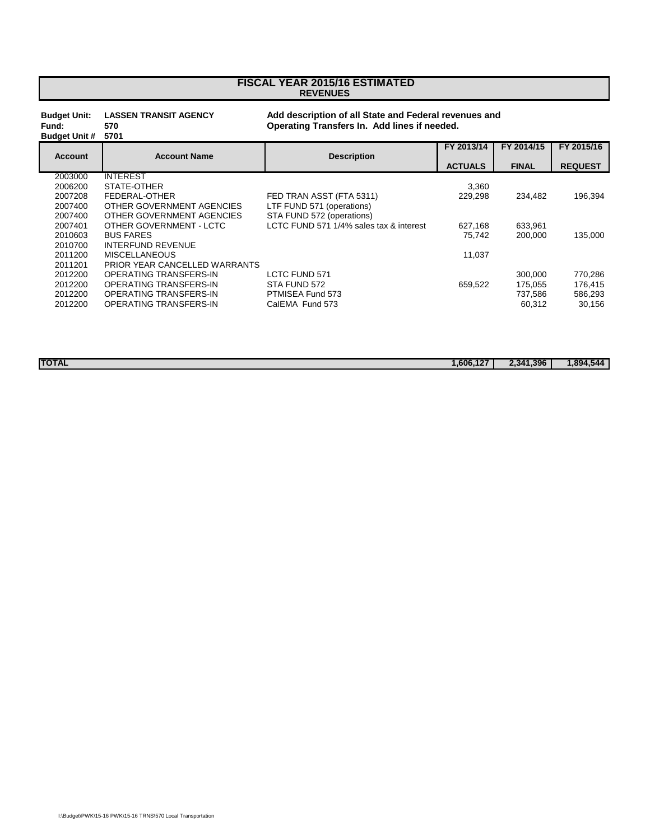## **REVENUES FISCAL YEAR 2015/16 ESTIMATED**

## **Budget Unit: LASSEN TRANSIT AGENCY Add description of all State and Federal revenues and**

**Budget Unit #** 

**Fund: 570 Operating Transfers In. Add lines if needed. FY 2013/14 FY 2014/15 FY 2015/16**

|                |                               |                                         |                | <u>.</u>     | <u>II LUIVIIV</u> |
|----------------|-------------------------------|-----------------------------------------|----------------|--------------|-------------------|
| <b>Account</b> | <b>Account Name</b>           | <b>Description</b>                      | <b>ACTUALS</b> | <b>FINAL</b> | <b>REQUEST</b>    |
| 2003000        | <b>INTEREST</b>               |                                         |                |              |                   |
| 2006200        | STATE-OTHER                   |                                         | 3.360          |              |                   |
| 2007208        | FEDERAL-OTHER                 | FED TRAN ASST (FTA 5311)                | 229.298        | 234.482      | 196,394           |
| 2007400        | OTHER GOVERNMENT AGENCIES     | LTF FUND 571 (operations)               |                |              |                   |
| 2007400        | OTHER GOVERNMENT AGENCIES     | STA FUND 572 (operations)               |                |              |                   |
| 2007401        | OTHER GOVERNMENT - LCTC       | LCTC FUND 571 1/4% sales tax & interest | 627,168        | 633,961      |                   |
| 2010603        | <b>BUS FARES</b>              |                                         | 75.742         | 200,000      | 135,000           |
| 2010700        | <b>INTERFUND REVENUE</b>      |                                         |                |              |                   |
| 2011200        | <b>MISCELLANEOUS</b>          |                                         | 11,037         |              |                   |
| 2011201        | PRIOR YEAR CANCELLED WARRANTS |                                         |                |              |                   |
| 2012200        | OPERATING TRANSFERS-IN        | <b>LCTC FUND 571</b>                    |                | 300.000      | 770,286           |
| 2012200        | OPERATING TRANSFERS-IN        | STA FUND 572                            | 659.522        | 175.055      | 176,415           |
| 2012200        | OPERATING TRANSFERS-IN        | PTMISEA Fund 573                        |                | 737,586      | 586,293           |
| 2012200        | OPERATING TRANSFERS-IN        | CalEMA Fund 573                         |                | 60.312       | 30,156            |
|                |                               |                                         |                |              |                   |

**TOTAL 1,606,127 2,341,396 1,894,544**